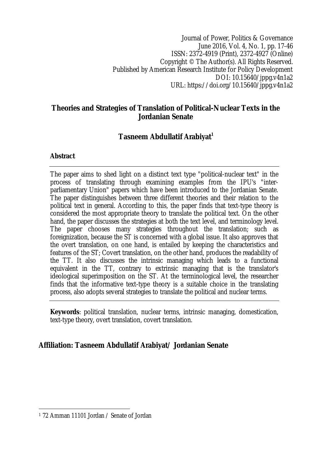Journal of Power, Politics & Governance June 2016, Vol. 4, No. 1, pp. 17-46 ISSN: 2372-4919 (Print), 2372-4927 (Online) Copyright © The Author(s). All Rights Reserved. Published by American Research Institute for Policy Development DOI: 10.15640/jppg.v4n1a2 URL: https://doi.org/10.15640/jppg.v4n1a2

## **Theories and Strategies of Translation of Political-Nuclear Texts in the Jordanian Senate**

# **Tasneem Abdullatif Arabiyat<sup>1</sup>**

### **Abstract**

The paper aims to shed light on a distinct text type "political-nuclear text" in the process of translating through examining examples from the IPU's "interparliamentary Union" papers which have been introduced to the Jordanian Senate. The paper distinguishes between three different theories and their relation to the political text in general. According to this, the paper finds that text-type theory is considered the most appropriate theory to translate the political text. On the other hand, the paper discusses the strategies at both the text level, and terminology level. The paper chooses many strategies throughout the translation; such as foreignization, because the ST is concerned with a global issue. It also approves that the overt translation, on one hand, is entailed by keeping the characteristics and features of the ST; Covert translation, on the other hand, produces the readability of the TT. It also discusses the intrinsic managing which leads to a functional equivalent in the TT, contrary to extrinsic managing that is the translator's ideological superimposition on the ST. At the terminological level, the researcher finds that the informative text-type theory is a suitable choice in the translating process, also adopts several strategies to translate the political and nuclear terms.

**Keywords**: political translation, nuclear terms, intrinsic managing, domestication, text-type theory, overt translation, covert translation.

# **Affiliation: Tasneem Abdullatif Arabiyat/ Jordanian Senate**

 $\overline{a}$ <sup>1</sup> 72 Amman 11101 Jordan / Senate of Jordan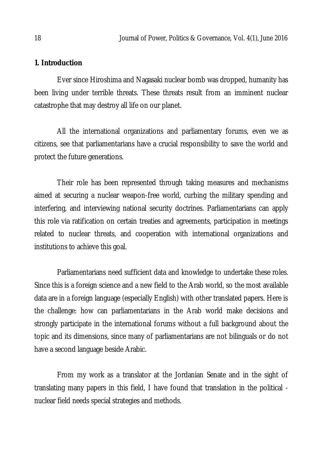## **1. Introduction**

Ever since Hiroshima and Nagasaki nuclear bomb was dropped, humanity has been living under terrible threats. These threats result from an imminent nuclear catastrophe that may destroy all life on our planet.

All the international organizations and parliamentary forums, even we as citizens, see that parliamentarians have a crucial responsibility to save the world and protect the future generations.

Their role has been represented through taking measures and mechanisms aimed at securing a nuclear weapon-free world, curbing the military spending and interfering, and interviewing national security doctrines. Parliamentarians can apply this role via ratification on certain treaties and agreements, participation in meetings related to nuclear threats, and cooperation with international organizations and institutions to achieve this goal.

Parliamentarians need sufficient data and knowledge to undertake these roles. Since this is a foreign science and a new field to the Arab world, so the most available data are in a foreign language (especially English) with other translated papers. Here is the challenge: how can parliamentarians in the Arab world make decisions and strongly participate in the international forums without a full background about the topic and its dimensions, since many of parliamentarians are not bilinguals or do not have a second language beside Arabic.

From my work as a translator at the Jordanian Senate and in the sight of translating many papers in this field, I have found that translation in the political nuclear field needs special strategies and methods.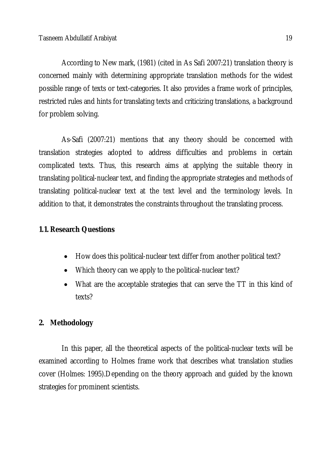According to New mark, (1981) (cited in As Safi 2007:21) translation theory is concerned mainly with determining appropriate translation methods for the widest possible range of texts or text-categories. It also provides a frame work of principles, restricted rules and hints for translating texts and criticizing translations, a background for problem solving.

As-Safi (2007:21) mentions that any theory should be concerned with translation strategies adopted to address difficulties and problems in certain complicated texts. Thus, this research aims at applying the suitable theory in translating political-nuclear text, and finding the appropriate strategies and methods of translating political-nuclear text at the text level and the terminology levels. In addition to that, it demonstrates the constraints throughout the translating process.

## **1.1. Research Questions**

- How does this political-nuclear text differ from another political text?
- Which theory can we apply to the political-nuclear text?
- What are the acceptable strategies that can serve the TT in this kind of texts?

# **2. Methodology**

In this paper, all the theoretical aspects of the political-nuclear texts will be examined according to Holmes frame work that describes what translation studies cover (Holmes: 1995).Depending on the theory approach and guided by the known strategies for prominent scientists.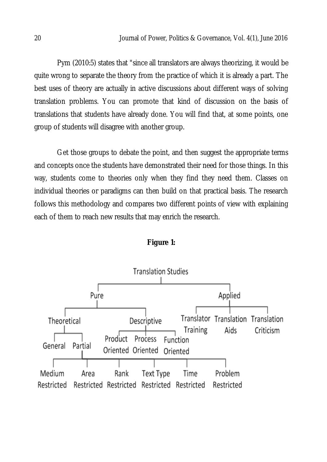Pym (2010:5) states that "since all translators are always theorizing, it would be quite wrong to separate the theory from the practice of which it is already a part. The best uses of theory are actually in active discussions about different ways of solving translation problems. You can promote that kind of discussion on the basis of translations that students have already done. You will find that, at some points, one group of students will disagree with another group.

Get those groups to debate the point, and then suggest the appropriate terms and concepts once the students have demonstrated their need for those things. In this way, students come to theories only when they find they need them. Classes on individual theories or paradigms can then build on that practical basis. The research follows this methodology and compares two different points of view with explaining each of them to reach new results that may enrich the research.



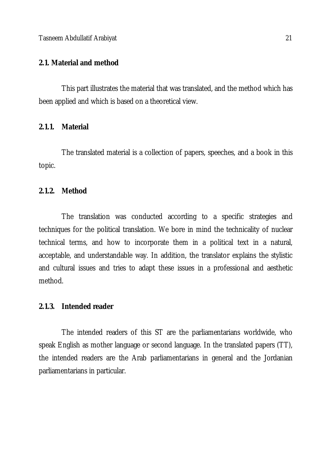Tasneem Abdullatif Arabiyat 21

## **2.1. Material and method**

This part illustrates the material that was translated, and the method which has been applied and which is based on a theoretical view.

## **2.1.1. Material**

The translated material is a collection of papers, speeches, and a book in this topic.

## **2.1.2. Method**

The translation was conducted according to a specific strategies and techniques for the political translation. We bore in mind the technicality of nuclear technical terms, and how to incorporate them in a political text in a natural, acceptable, and understandable way. In addition, the translator explains the stylistic and cultural issues and tries to adapt these issues in a professional and aesthetic method.

## **2.1.3. Intended reader**

The intended readers of this ST are the parliamentarians worldwide, who speak English as mother language or second language. In the translated papers (TT), the intended readers are the Arab parliamentarians in general and the Jordanian parliamentarians in particular.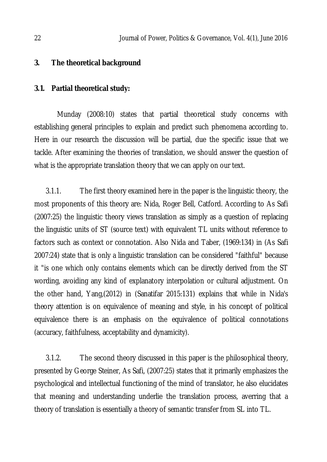### **3. The theoretical background**

### **3.1. Partial theoretical study:**

Munday (2008:10) states that partial theoretical study concerns with establishing general principles to explain and predict such phenomena according to. Here in our research the discussion will be partial, due the specific issue that we tackle. After examining the theories of translation, we should answer the question of what is the appropriate translation theory that we can apply on our text.

3.1.1. The first theory examined here in the paper is the linguistic theory, the most proponents of this theory are: Nida, Roger Bell, Catford. According to As Safi (2007:25) the linguistic theory views translation as simply as a question of replacing the linguistic units of ST (source text) with equivalent TL units without reference to factors such as context or connotation. Also Nida and Taber, (1969:134) in (As Safi 2007:24) state that is only a linguistic translation can be considered "faithful" because it "is one which only contains elements which can be directly derived from the ST wording, avoiding any kind of explanatory interpolation or cultural adjustment. On the other hand, Yang,(2012) in (Sanatifar 2015:131) explains that while in Nida's theory attention is on equivalence of meaning and style, in his concept of political equivalence there is an emphasis on the equivalence of political connotations (accuracy, faithfulness, acceptability and dynamicity).

3.1.2. The second theory discussed in this paper is the philosophical theory, presented by George Steiner, As Safi, (2007:25) states that it primarily emphasizes the psychological and intellectual functioning of the mind of translator, he also elucidates that meaning and understanding underlie the translation process, averring that a theory of translation is essentially a theory of semantic transfer from SL into TL.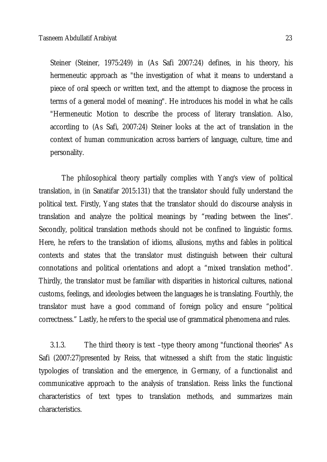Steiner (Steiner, 1975:249) in (As Safi 2007:24) defines, in his theory, his hermeneutic approach as "the investigation of what it means to understand a piece of oral speech or written text, and the attempt to diagnose the process in terms of a general model of meaning". He introduces his model in what he calls "Hermeneutic Motion to describe the process of literary translation. Also, according to (As Safi, 2007:24) Steiner looks at the act of translation in the context of human communication across barriers of language, culture, time and personality.

The philosophical theory partially complies with Yang's view of political translation, in (in Sanatifar 2015:131) that the translator should fully understand the political text. Firstly, Yang states that the translator should do discourse analysis in translation and analyze the political meanings by "reading between the lines". Secondly, political translation methods should not be confined to linguistic forms. Here, he refers to the translation of idioms, allusions, myths and fables in political contexts and states that the translator must distinguish between their cultural connotations and political orientations and adopt a "mixed translation method". Thirdly, the translator must be familiar with disparities in historical cultures, national customs, feelings, and ideologies between the languages he is translating. Fourthly, the translator must have a good command of foreign policy and ensure "political correctness." Lastly, he refers to the special use of grammatical phenomena and rules.

3.1.3. The third theory is text –type theory among "functional theories" As Safi (2007:27)presented by Reiss, that witnessed a shift from the static linguistic typologies of translation and the emergence, in Germany, of a functionalist and communicative approach to the analysis of translation. Reiss links the functional characteristics of text types to translation methods, and summarizes main characteristics.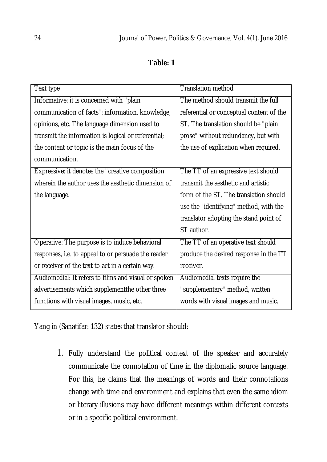# **Table: 1**

| Text type                                            | <b>Translation method</b>                |
|------------------------------------------------------|------------------------------------------|
| Informative: it is concerned with "plain             | The method should transmit the full      |
| communication of facts": information, knowledge,     | referential or conceptual content of the |
| opinions, etc. The language dimension used to        | ST. The translation should be "plain     |
| transmit the information is logical or referential;  | prose" without redundancy, but with      |
| the content or topic is the main focus of the        | the use of explication when required.    |
| communication.                                       |                                          |
| Expressive: it denotes the "creative composition"    | The TT of an expressive text should      |
| wherein the author uses the aesthetic dimension of   | transmit the aesthetic and artistic      |
| the language.                                        | form of the ST. The translation should   |
|                                                      | use the "identifying" method, with the   |
|                                                      | translator adopting the stand point of   |
|                                                      | ST author.                               |
| Operative: The purpose is to induce behavioral       | The TT of an operative text should       |
| responses, i.e. to appeal to or persuade the reader  | produce the desired response in the TT   |
| or receiver of the text to act in a certain way.     | receiver.                                |
| Audiomedial: It refers to films and visual or spoken | Audiomedial texts require the            |
| advertisements which supplementthe other three       | "supplementary" method, written          |
| functions with visual images, music, etc.            | words with visual images and music.      |

Yang in (Sanatifar: 132) states that translator should:

1. Fully understand the political context of the speaker and accurately communicate the connotation of time in the diplomatic source language. For this, he claims that the meanings of words and their connotations change with time and environment and explains that even the same idiom or literary illusions may have different meanings within different contexts or in a specific political environment.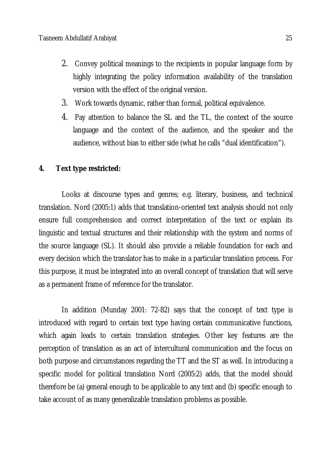- 2. Convey political meanings to the recipients in popular language form by highly integrating the policy information availability of the translation version with the effect of the original version.
- 3. Work towards dynamic, rather than formal, political equivalence.
- 4. Pay attention to balance the SL and the TL, the context of the source language and the context of the audience, and the speaker and the audience, without bias to either side (what he calls "dual identification").

## **4. Text type restricted:**

Looks at discourse types and genres; e.g. literary, business, and technical translation. Nord (2005:1) adds that translation-oriented text analysis should not only ensure full comprehension and correct interpretation of the text or explain its linguistic and textual structures and their relationship with the system and norms of the source language (SL). It should also provide a reliable foundation for each and every decision which the translator has to make in a particular translation process. For this purpose, it must be integrated into an overall concept of translation that will serve as a permanent frame of reference for the translator.

In addition (Munday 2001: 72-82) says that the concept of text type is introduced with regard to certain text type having certain communicative functions, which again leads to certain translation strategies. Other key features are the perception of translation as an act of intercultural communication and the focus on both purpose and circumstances regarding the TT and the ST as well. In introducing a specific model for political translation Nord (2005:2) adds, that the model should therefore be (a) general enough to be applicable to any text and (b) specific enough to take account of as many generalizable translation problems as possible.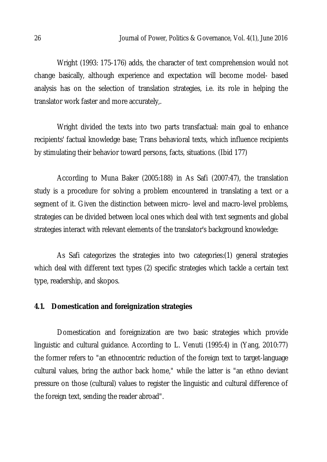Wright (1993: 175-176) adds, the character of text comprehension would not change basically, although experience and expectation will become model- based analysis has on the selection of translation strategies, i.e. its role in helping the translator work faster and more accurately,.

Wright divided the texts into two parts transfactual: main goal to enhance recipients' factual knowledge base; Trans behavioral texts, which influence recipients by stimulating their behavior toward persons, facts, situations. (Ibid 177)

According to Muna Baker (2005:188) in As Safi (2007:47), the translation study is a procedure for solving a problem encountered in translating a text or a segment of it. Given the distinction between micro- level and macro-level problems, strategies can be divided between local ones which deal with text segments and global strategies interact with relevant elements of the translator's background knowledge:

As Safi categorizes the strategies into two categories:(1) general strategies which deal with different text types (2) specific strategies which tackle a certain text type, readership, and skopos.

### **4.1. Domestication and foreignization strategies**

Domestication and foreignization are two basic strategies which provide linguistic and cultural guidance. According to L. Venuti (1995:4) in (Yang, 2010:77) the former refers to "an ethnocentric reduction of the foreign text to target-language cultural values, bring the author back home," while the latter is "an ethno deviant pressure on those (cultural) values to register the linguistic and cultural difference of the foreign text, sending the reader abroad".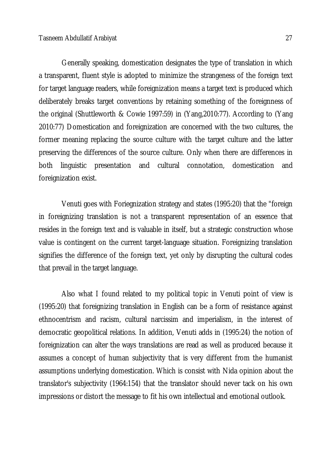Generally speaking, domestication designates the type of translation in which a transparent, fluent style is adopted to minimize the strangeness of the foreign text for target language readers, while foreignization means a target text is produced which deliberately breaks target conventions by retaining something of the foreignness of the original (Shuttleworth & Cowie 1997:59) in (Yang,2010:77). According to (Yang 2010:77) Domestication and foreignization are concerned with the two cultures, the former meaning replacing the source culture with the target culture and the latter preserving the differences of the source culture. Only when there are differences in both linguistic presentation and cultural connotation, domestication and foreignization exist.

Venuti goes with Foriegnization strategy and states (1995:20) that the "foreign in foreignizing translation is not a transparent representation of an essence that resides in the foreign text and is valuable in itself, but a strategic construction whose value is contingent on the current target-language situation. Foreignizing translation signifies the difference of the foreign text, yet only by disrupting the cultural codes that prevail in the target language.

Also what I found related to my political topic in Venuti point of view is (1995:20) that foreignizing translation in English can be a form of resistance against ethnocentrism and racism, cultural narcissim and imperialism, in the interest of democratic geopolitical relations. In addition, Venuti adds in (1995:24) the notion of foreignization can alter the ways translations are read as well as produced because it assumes a concept of human subjectivity that is very different from the humanist assumptions underlying domestication. Which is consist with Nida opinion about the translator's subjectivity (1964:154) that the translator should never tack on his own impressions or distort the message to fit his own intellectual and emotional outlook.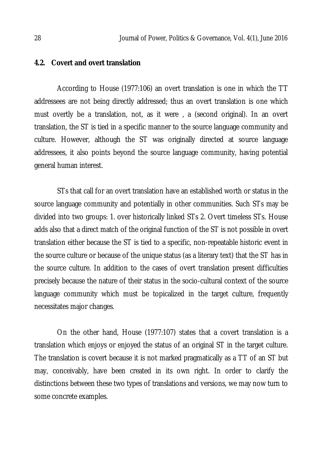### **4.2. Covert and overt translation**

According to House (1977:106) an overt translation is one in which the TT addressees are not being directly addressed; thus an overt translation is one which must overtly be a translation, not, as it were , a (second original). In an overt translation, the ST is tied in a specific manner to the source language community and culture. However, although the ST was originally directed at source language addressees, it also points beyond the source language community, having potential general human interest.

STs that call for an overt translation have an established worth or status in the source language community and potentially in other communities. Such STs may be divided into two groups: 1. over historically linked STs 2. Overt timeless STs. House adds also that a direct match of the original function of the ST is not possible in overt translation either because the ST is tied to a specific, non-repeatable historic event in the source culture or because of the unique status (as a literary text) that the ST has in the source culture. In addition to the cases of overt translation present difficulties precisely because the nature of their status in the socio-cultural context of the source language community which must be topicalized in the target culture, frequently necessitates major changes.

On the other hand, House (1977:107) states that a covert translation is a translation which enjoys or enjoyed the status of an original ST in the target culture. The translation is covert because it is not marked pragmatically as a TT of an ST but may, conceivably, have been created in its own right. In order to clarify the distinctions between these two types of translations and versions, we may now turn to some concrete examples.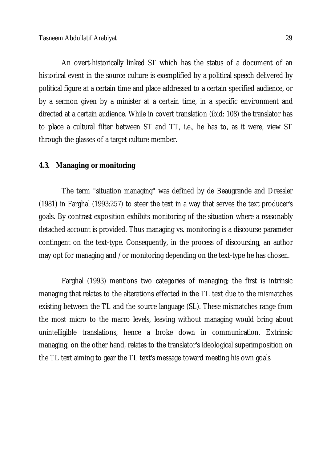An overt-historically linked ST which has the status of a document of an historical event in the source culture is exemplified by a political speech delivered by political figure at a certain time and place addressed to a certain specified audience, or by a sermon given by a minister at a certain time, in a specific environment and directed at a certain audience. While in covert translation (ibid: 108) the translator has to place a cultural filter between ST and TT, i.e., he has to, as it were, view ST through the glasses of a target culture member.

#### **4.3. Managing or monitoring**

The term "situation managing" was defined by de Beaugrande and Dressler (1981) in Farghal (1993:257) to steer the text in a way that serves the text producer's goals. By contrast exposition exhibits monitoring of the situation where a reasonably detached account is provided. Thus managing vs. monitoring is a discourse parameter contingent on the text-type. Consequently, in the process of discoursing, an author may opt for managing and /or monitoring depending on the text-type he has chosen.

Farghal (1993) mentions two categories of managing; the first is intrinsic managing that relates to the alterations effected in the TL text due to the mismatches existing between the TL and the source language (SL). These mismatches range from the most micro to the macro levels, leaving without managing would bring about unintelligible translations, hence a broke down in communication. Extrinsic managing, on the other hand, relates to the translator's ideological superimposition on the TL text aiming to gear the TL text's message toward meeting his own goals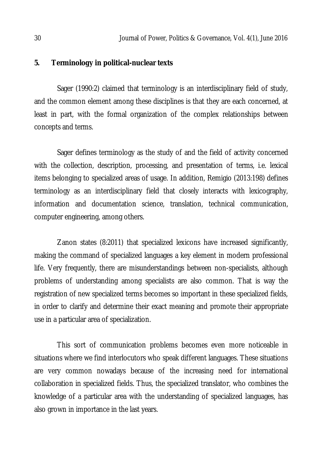### **5. Terminology in political-nuclear texts**

Sager (1990:2) claimed that terminology is an interdisciplinary field of study, and the common element among these disciplines is that they are each concerned, at least in part, with the formal organization of the complex relationships between concepts and terms.

Sager defines terminology as the study of and the field of activity concerned with the collection, description, processing, and presentation of terms, i.e. lexical items belonging to specialized areas of usage. In addition, Remigio (2013:198) defines terminology as an interdisciplinary field that closely interacts with lexicography, information and documentation science, translation, technical communication, computer engineering, among others.

Zanon states (8:2011) that specialized lexicons have increased significantly, making the command of specialized languages a key element in modern professional life. Very frequently, there are misunderstandings between non-specialists, although problems of understanding among specialists are also common. That is way the registration of new specialized terms becomes so important in these specialized fields, in order to clarify and determine their exact meaning and promote their appropriate use in a particular area of specialization.

This sort of communication problems becomes even more noticeable in situations where we find interlocutors who speak different languages. These situations are very common nowadays because of the increasing need for international collaboration in specialized fields. Thus, the specialized translator, who combines the knowledge of a particular area with the understanding of specialized languages, has also grown in importance in the last years.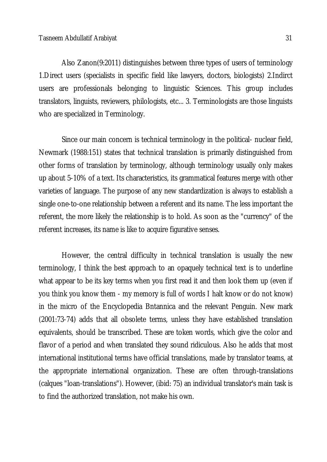Also Zanon(9:2011) distinguishes between three types of users of terminology 1.Direct users (specialists in specific field like lawyers, doctors, biologists) 2.Indirct users are professionals belonging to linguistic Sciences. This group includes translators, linguists, reviewers, philologists, etc... 3. Terminologists are those linguists who are specialized in Terminology.

Since our main concern is technical terminology in the political- nuclear field, Newmark (1988:151) states that technical translation is primarily distinguished from other forms of translation by terminology, although terminology usually only makes up about 5-10% of a text. Its characteristics, its grammatical features merge with other varieties of language. The purpose of any new standardization is always to establish a single one-to-one relationship between a referent and its name. The less important the referent, the more likely the relationship is to hold. As soon as the "currency" of the referent increases, its name is like to acquire figurative senses.

However, the central difficulty in technical translation is usually the new terminology, I think the best approach to an opaquely technical text is to underline what appear to be its key terms when you first read it and then look them up (even if you think you know them - my memory is full of words I halt know or do not know) in the micro of the Encyclopedia Bntannica and the relevant Penguin. New mark (2001:73-74) adds that all obsolete terms, unless they have established translation equivalents, should be transcribed. These are token words, which give the color and flavor of a period and when translated they sound ridiculous. Also he adds that most international institutional terms have official translations, made by translator teams, at the appropriate international organization. These are often through-translations (calques "loan-translations"). However, (ibid: 75) an individual translator's main task is to find the authorized translation, not make his own.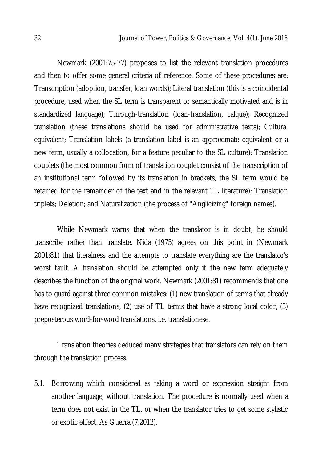Newmark (2001:75-77) proposes to list the relevant translation procedures and then to offer some general criteria of reference. Some of these procedures are: Transcription (adoption, transfer, loan words); Literal translation (this is a coincidental procedure, used when the SL term is transparent or semantically motivated and is in standardized language); Through-translation (loan-translation, calque); Recognized translation (these translations should be used for administrative texts); Cultural equivalent; Translation labels (a translation label is an approximate equivalent or a new term, usually a collocation, for a feature peculiar to the SL culture); Translation couplets (the most common form of translation couplet consist of the transcription of an institutional term followed by its translation in brackets, the SL term would be retained for the remainder of the text and in the relevant TL literature); Translation triplets; Deletion; and Naturalization (the process of "Anglicizing" foreign names).

While Newmark warns that when the translator is in doubt, he should transcribe rather than translate. Nida (1975) agrees on this point in (Newmark 2001:81) that literalness and the attempts to translate everything are the translator's worst fault. A translation should be attempted only if the new term adequately describes the function of the original work. Newmark (2001:81) recommends that one has to guard against three common mistakes: (1) new translation of terms that already have recognized translations, (2) use of TL terms that have a strong local color, (3) preposterous word-for-word translations, i.e. translationese.

Translation theories deduced many strategies that translators can rely on them through the translation process.

5.1. Borrowing which considered as taking a word or expression straight from another language, without translation. The procedure is normally used when a term does not exist in the TL, or when the translator tries to get some stylistic or exotic effect. As Guerra (7:2012).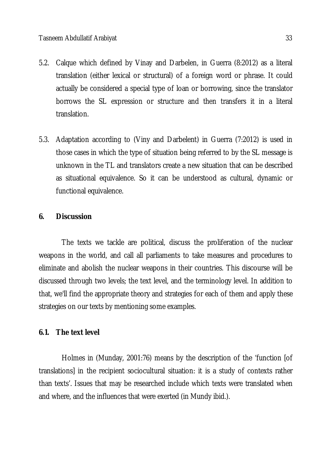- 5.2. Calque which defined by Vinay and Darbelen, in Guerra (8:2012) as a literal translation (either lexical or structural) of a foreign word or phrase. It could actually be considered a special type of loan or borrowing, since the translator borrows the SL expression or structure and then transfers it in a literal translation.
- 5.3. Adaptation according to (Viny and Darbelent) in Guerra (7:2012) is used in those cases in which the type of situation being referred to by the SL message is unknown in the TL and translators create a new situation that can be described as situational equivalence. So it can be understood as cultural, dynamic or functional equivalence.

## **6. Discussion**

The texts we tackle are political, discuss the proliferation of the nuclear weapons in the world, and call all parliaments to take measures and procedures to eliminate and abolish the nuclear weapons in their countries. This discourse will be discussed through two levels; the text level, and the terminology level. In addition to that, we'll find the appropriate theory and strategies for each of them and apply these strategies on our texts by mentioning some examples.

### **6.1. The text level**

Holmes in (Munday, 2001:76) means by the description of the 'function [of translations] in the recipient sociocultural situation: it is a study of contexts rather than texts'. Issues that may be researched include which texts were translated when and where, and the influences that were exerted (in Mundy ibid.).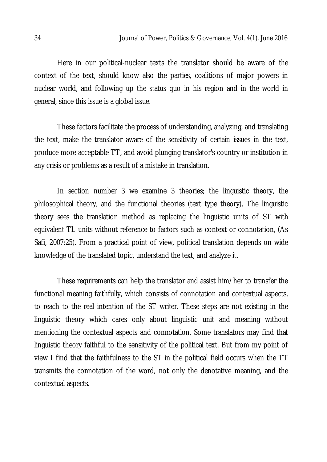Here in our political-nuclear texts the translator should be aware of the context of the text, should know also the parties, coalitions of major powers in nuclear world, and following up the status quo in his region and in the world in general, since this issue is a global issue.

These factors facilitate the process of understanding, analyzing, and translating the text, make the translator aware of the sensitivity of certain issues in the text, produce more acceptable TT, and avoid plunging translator's country or institution in any crisis or problems as a result of a mistake in translation.

In section number 3 we examine 3 theories; the linguistic theory, the philosophical theory, and the functional theories (text type theory). The linguistic theory sees the translation method as replacing the linguistic units of ST with equivalent TL units without reference to factors such as context or connotation, (As Safi, 2007:25). From a practical point of view, political translation depends on wide knowledge of the translated topic, understand the text, and analyze it.

These requirements can help the translator and assist him/her to transfer the functional meaning faithfully, which consists of connotation and contextual aspects, to reach to the real intention of the ST writer. These steps are not existing in the linguistic theory which cares only about linguistic unit and meaning without mentioning the contextual aspects and connotation. Some translators may find that linguistic theory faithful to the sensitivity of the political text. But from my point of view I find that the faithfulness to the ST in the political field occurs when the TT transmits the connotation of the word, not only the denotative meaning, and the contextual aspects.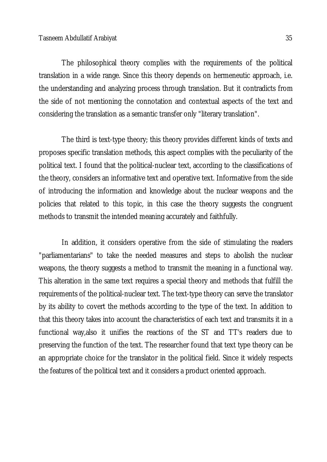The philosophical theory complies with the requirements of the political translation in a wide range. Since this theory depends on hermeneutic approach, i.e. the understanding and analyzing process through translation. But it contradicts from the side of not mentioning the connotation and contextual aspects of the text and considering the translation as a semantic transfer only "literary translation".

The third is text-type theory; this theory provides different kinds of texts and proposes specific translation methods, this aspect complies with the peculiarity of the political text. I found that the political-nuclear text, according to the classifications of the theory, considers an informative text and operative text. Informative from the side of introducing the information and knowledge about the nuclear weapons and the policies that related to this topic, in this case the theory suggests the congruent methods to transmit the intended meaning accurately and faithfully.

In addition, it considers operative from the side of stimulating the readers "parliamentarians" to take the needed measures and steps to abolish the nuclear weapons, the theory suggests a method to transmit the meaning in a functional way. This alteration in the same text requires a special theory and methods that fulfill the requirements of the political-nuclear text. The text-type theory can serve the translator by its ability to covert the methods according to the type of the text. In addition to that this theory takes into account the characteristics of each text and transmits it in a functional way,also it unifies the reactions of the ST and TT's readers due to preserving the function of the text. The researcher found that text type theory can be an appropriate choice for the translator in the political field. Since it widely respects the features of the political text and it considers a product oriented approach.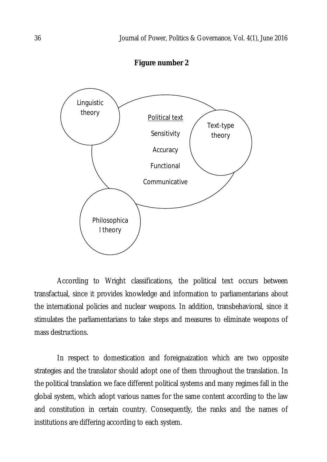**Figure number 2**



According to Wright classifications, the political text occurs between transfactual, since it provides knowledge and information to parliamentarians about the international policies and nuclear weapons. In addition, transbehavioral, since it stimulates the parliamentarians to take steps and measures to eliminate weapons of mass destructions.

In respect to domestication and foreignaization which are two opposite strategies and the translator should adopt one of them throughout the translation. In the political translation we face different political systems and many regimes fall in the global system, which adopt various names for the same content according to the law and constitution in certain country. Consequently, the ranks and the names of institutions are differing according to each system.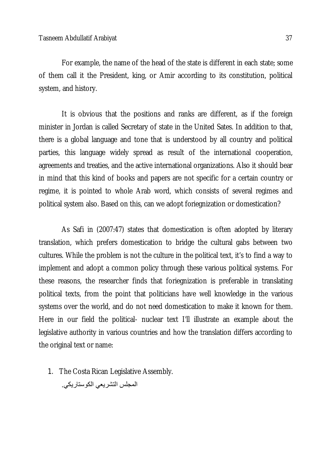For example, the name of the head of the state is different in each state; some of them call it the President, king, or Amir according to its constitution, political system, and history.

It is obvious that the positions and ranks are different, as if the foreign minister in Jordan is called Secretary of state in the United Sates. In addition to that, there is a global language and tone that is understood by all country and political parties, this language widely spread as result of the international cooperation, agreements and treaties, and the active international organizations. Also it should bear in mind that this kind of books and papers are not specific for a certain country or regime, it is pointed to whole Arab word, which consists of several regimes and political system also. Based on this, can we adopt foriegnization or domestication?

As Safi in (2007:47) states that domestication is often adopted by literary translation, which prefers domestication to bridge the cultural gabs between two cultures. While the problem is not the culture in the political text, it's to find a way to implement and adopt a common policy through these various political systems. For these reasons, the researcher finds that foriegnization is preferable in translating political texts, from the point that politicians have well knowledge in the various systems over the world, and do not need domestication to make it known for them. Here in our field the political- nuclear text I'll illustrate an example about the legislative authority in various countries and how the translation differs according to the original text or name:

1. The Costa Rican Legislative Assembly.

المجلس التشریعي الكوستاریكي.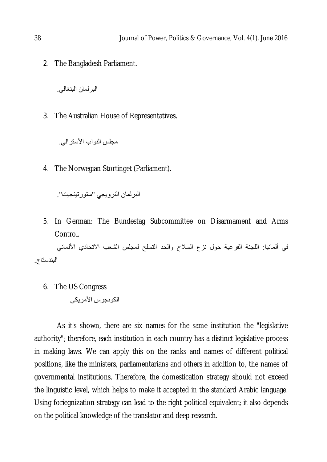2. The Bangladesh Parliament.

البرلمان البنغالي.

3. The Australian House of Representatives.

مجلس النواب الأسترالي.

4. The Norwegian Stortinget (Parliament).

البرلمان النرویجي "ستورتینجیت".

5. In German: The Bundestag Subcommittee on Disarmament and Arms Control.

في ألمانیا: اللجنة الفرعیة حول نزع السلاح والحد التسلح لمجلس الشعب الاتحادي الألماني البندستاج.

6. The US Congress

الكونجرس الأمریكي

As it's shown, there are six names for the same institution the "legislative authority"; therefore, each institution in each country has a distinct legislative process in making laws. We can apply this on the ranks and names of different political positions, like the ministers, parliamentarians and others in addition to, the names of governmental institutions. Therefore, the domestication strategy should not exceed the linguistic level, which helps to make it accepted in the standard Arabic language. Using foriegnization strategy can lead to the right political equivalent; it also depends on the political knowledge of the translator and deep research.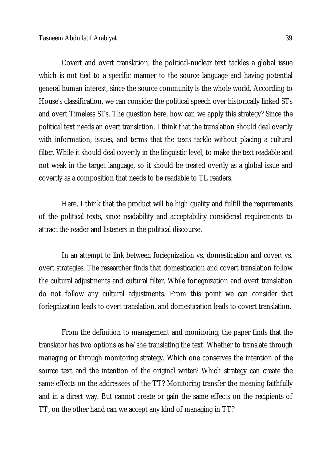Covert and overt translation, the political-nuclear text tackles a global issue which is not tied to a specific manner to the source language and having potential general human interest, since the source community is the whole world. According to House's classification, we can consider the political speech over historically linked STs and overt Timeless STs. The question here, how can we apply this strategy? Since the political text needs an overt translation, I think that the translation should deal overtly with information, issues, and terms that the texts tackle without placing a cultural filter. While it should deal covertly in the linguistic level, to make the text readable and not weak in the target language, so it should be treated overtly as a global issue and covertly as a composition that needs to be readable to TL readers.

Here, I think that the product will be high quality and fulfill the requirements of the political texts, since readability and acceptability considered requirements to attract the reader and listeners in the political discourse.

In an attempt to link between foriegnization vs. domestication and covert vs. overt strategies. The researcher finds that domestication and covert translation follow the cultural adjustments and cultural filter. While foriegnization and overt translation do not follow any cultural adjustments. From this point we can consider that foriegnization leads to overt translation, and domestication leads to covert translation.

From the definition to management and monitoring, the paper finds that the translator has two options as he/she translating the text. Whether to translate through managing or through monitoring strategy. Which one conserves the intention of the source text and the intention of the original writer? Which strategy can create the same effects on the addressees of the TT? Monitoring transfer the meaning faithfully and in a direct way. But cannot create or gain the same effects on the recipients of TT, on the other hand can we accept any kind of managing in TT?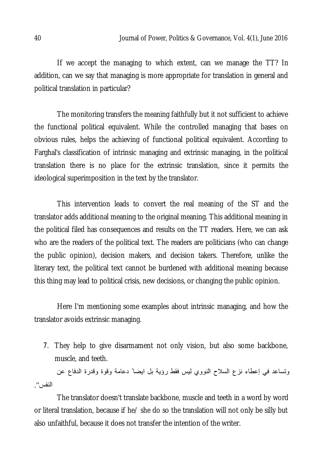If we accept the managing to which extent, can we manage the TT? In addition, can we say that managing is more appropriate for translation in general and political translation in particular?

The monitoring transfers the meaning faithfully but it not sufficient to achieve the functional political equivalent. While the controlled managing that bases on obvious rules, helps the achieving of functional political equivalent. According to Farghal's classification of intrinsic managing and extrinsic managing, in the political translation there is no place for the extrinsic translation, since it permits the ideological superimposition in the text by the translator.

This intervention leads to convert the real meaning of the ST and the translator adds additional meaning to the original meaning. This additional meaning in the political filed has consequences and results on the TT readers. Here, we can ask who are the readers of the political text. The readers are politicians (who can change the public opinion), decision makers, and decision takers. Therefore, unlike the literary text, the political text cannot be burdened with additional meaning because this thing may lead to political crisis, new decisions, or changing the public opinion.

Here I'm mentioning some examples about intrinsic managing, and how the translator avoids extrinsic managing.

7. They help to give disarmament not only vision, but also some backbone, muscle, and teeth.

وتساعد في إعطاء نزع السلاح النووي لیس فقط رؤیة بل ایضا ً دعامة وقوة وقدرة الدفاع عن النفس".

The translator doesn't translate backbone, muscle and teeth in a word by word or literal translation, because if he/ she do so the translation will not only be silly but also unfaithful, because it does not transfer the intention of the writer.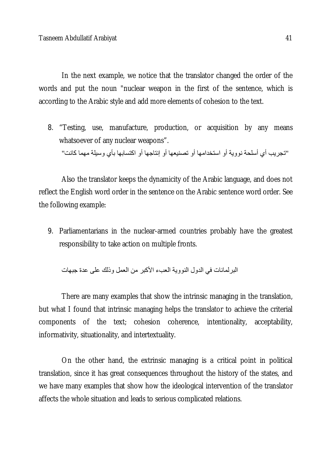In the next example, we notice that the translator changed the order of the words and put the noun "nuclear weapon in the first of the sentence, which is according to the Arabic style and add more elements of cohesion to the text.

8. "Testing, use, manufacture, production, or acquisition by any means whatsoever of any nuclear weapons". "تجریب أي أسلحة نوویة أو استخدامھا أو تصنیعھا أو إنتاجھا أو اكتسابھا بأي وسیلة مھما كانت"

Also the translator keeps the dynamicity of the Arabic language, and does not reflect the English word order in the sentence on the Arabic sentence word order. See the following example:

9. Parliamentarians in the nuclear-armed countries probably have the greatest responsibility to take action on multiple fronts.

البرلمانات في الدول النوویة العبء الأكبر من العمل وذلك على عدة جبھات

There are many examples that show the intrinsic managing in the translation, but what I found that intrinsic managing helps the translator to achieve the criterial components of the text; cohesion coherence, intentionality, acceptability, informativity, situationality, and intertextuality.

On the other hand, the extrinsic managing is a critical point in political translation, since it has great consequences throughout the history of the states, and we have many examples that show how the ideological intervention of the translator affects the whole situation and leads to serious complicated relations.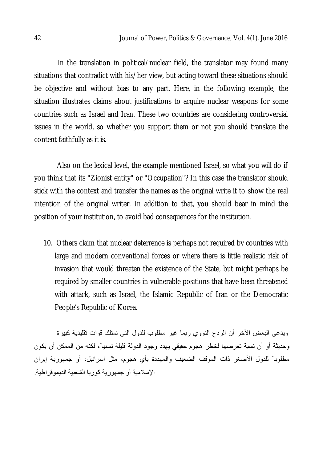In the translation in political/nuclear field, the translator may found many situations that contradict with his/her view, but acting toward these situations should be objective and without bias to any part. Here, in the following example, the situation illustrates claims about justifications to acquire nuclear weapons for some countries such as Israel and Iran. These two countries are considering controversial issues in the world, so whether you support them or not you should translate the content faithfully as it is.

Also on the lexical level, the example mentioned Israel, so what you will do if you think that its "Zionist entity" or "Occupation"? In this case the translator should stick with the context and transfer the names as the original write it to show the real intention of the original writer. In addition to that, you should bear in mind the position of your institution, to avoid bad consequences for the institution.

10. Others claim that nuclear deterrence is perhaps not required by countries with large and modern conventional forces or where there is little realistic risk of invasion that would threaten the existence of the State, but might perhaps be required by smaller countries in vulnerable positions that have been threatened with attack, such as Israel, the Islamic Republic of Iran or the Democratic People's Republic of Korea.

ویدعي البعض الأخر أن الردع النووي ربما غیر مطلوب للدول التي تمتلك قوات تقلیدیة كبیرة وحدیثة أو أن نسبة تعرضها لخطر هجوم حقیقي یهدد وجود الدولة قلیلة نسبیا ً، لكنه من الممكن أن یكون مطلوبا ً للدول الأصغر ذات الموقف الضعیف والمھددة بأي ھجوم، مثل اسرائیل، أو جمھوریة إیران الإسلامیة أو جمھوریة كوریا الشعبیة الدیموقراطیة.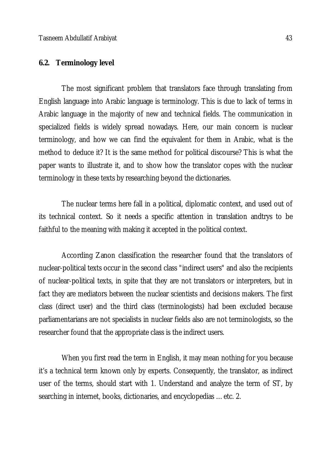## **6.2. Terminology level**

The most significant problem that translators face through translating from English language into Arabic language is terminology. This is due to lack of terms in Arabic language in the majority of new and technical fields. The communication in specialized fields is widely spread nowadays. Here, our main concern is nuclear terminology, and how we can find the equivalent for them in Arabic, what is the method to deduce it? It is the same method for political discourse? This is what the paper wants to illustrate it, and to show how the translator copes with the nuclear terminology in these texts by researching beyond the dictionaries.

The nuclear terms here fall in a political, diplomatic context, and used out of its technical context. So it needs a specific attention in translation andtrys to be faithful to the meaning with making it accepted in the political context.

According Zanon classification the researcher found that the translators of nuclear-political texts occur in the second class "indirect users" and also the recipients of nuclear-political texts, in spite that they are not translators or interpreters, but in fact they are mediators between the nuclear scientists and decisions makers. The first class (direct user) and the third class (terminologists) had been excluded because parliamentarians are not specialists in nuclear fields also are not terminologists, so the researcher found that the appropriate class is the indirect users.

When you first read the term in English, it may mean nothing for you because it's a technical term known only by experts. Consequently, the translator, as indirect user of the terms, should start with 1. Understand and analyze the term of ST, by searching in internet, books, dictionaries, and encyclopedias …etc. 2.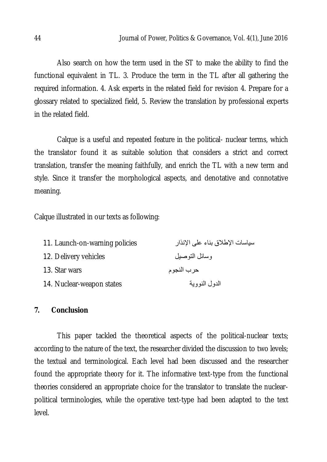Also search on how the term used in the ST to make the ability to find the functional equivalent in TL. 3. Produce the term in the TL after all gathering the required information. 4. Ask experts in the related field for revision 4. Prepare for a glossary related to specialized field, 5. Review the translation by professional experts in the related field.

Calque is a useful and repeated feature in the political- nuclear terms, which the translator found it as suitable solution that considers a strict and correct translation, transfer the meaning faithfully, and enrich the TL with a new term and style. Since it transfer the morphological aspects, and denotative and connotative meaning.

Calque illustrated in our texts as following:

| 11. Launch-on-warning policies | سياسات الإطلاق بناء على الإنذار |
|--------------------------------|---------------------------------|
| 12. Delivery vehicles          | وسائل التوصيل                   |
| 13. Star wars                  | حرب النجوم                      |
| 14. Nuclear-weapon states      | الدول النووية                   |

### **7. Conclusion**

This paper tackled the theoretical aspects of the political-nuclear texts; according to the nature of the text, the researcher divided the discussion to two levels; the textual and terminological. Each level had been discussed and the researcher found the appropriate theory for it. The informative text-type from the functional theories considered an appropriate choice for the translator to translate the nuclearpolitical terminologies, while the operative text-type had been adapted to the text level.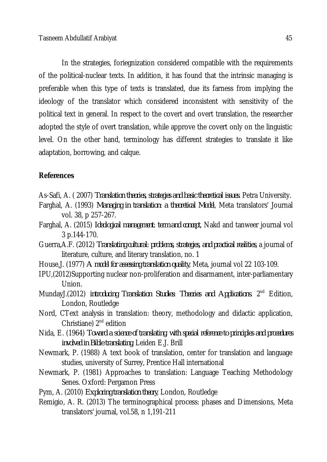In the strategies, foriegnization considered compatible with the requirements of the political-nuclear texts. In addition, it has found that the intrinsic managing is preferable when this type of texts is translated, due its farness from implying the ideology of the translator which considered inconsistent with sensitivity of the political text in general. In respect to the covert and overt translation, the researcher adopted the style of overt translation, while approve the covert only on the linguistic level. On the other hand, terminology has different strategies to translate it like adaptation, borrowing, and calque.

### **References**

- As-Safi, A. ( 2007) *Translation theories, strategies and basic theoretical issues*. Petra University.
- Farghal, A. (1993) *Managing in translation: a theoretical Model*, Meta translators' Journal vol. 38, p 257-267.
- Farghal, A. (2015) *Ideological management*: *term and concept*, Nakd and tanweer journal vol 3 p.144-170.
- Guerra,A.F. (2012) *Translating cultural: problems, strategies, and practical realities*, a journal of literature, culture, and literary translation, no. 1
- House,J. (1977) *A model for assessing translation quality*, Meta, journal vol 22 103-109.
- IPU,(2012)Supporting nuclear non-proliferation and disarmament, inter-parliamentary Union.
- MundayJ.(2012) *introducing Translation Studies*: *Theories and Applications*. 2nd Edition, London, Routledge
- Nord, CText analysis in translation: theory, methodology and didactic application, Christiane) 2<sup>nd</sup> edition
- Nida, E. (1964) *Toward a science of translating, with special reference to principles and procedures involved in Bible translating*, Leiden E.J. Brill
- Newmark, P. (1988) A text book of translation, center for translation and language studies, university of Surrey, Prentice Hall international
- Newmark, P. (1981) Approaches to translation: Language Teaching Methodology Senes. Oxford: Pergamon Press
- Pym, A. (2010) *Exploring translation theory*, London, Routledge
- Remigio, A. R. (2013) The terminographical process: phases and Dimensions, Meta translators' journal, vol.58, n 1,191-211